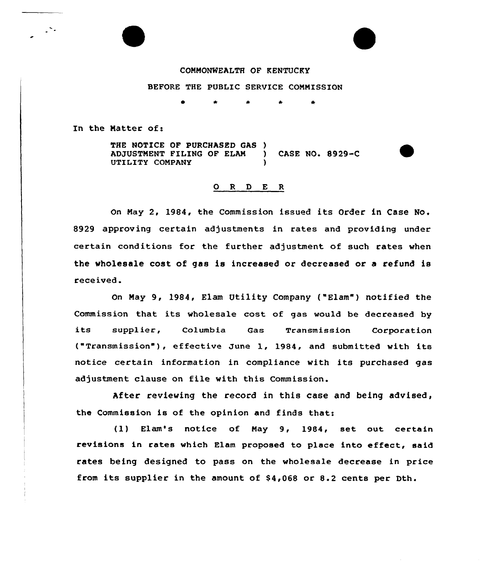## COMMONWEALTH OF KENTUCKY

## BEFORE THE PUBLIC SERVICE COMMISSION

In the Matter of:

THE NOTICE OF PURCHASED GAS )<br>ADJUSTMENT FILING OF ELAM ) ADJUSTMENT FILING OF ELAM ) CASE NO. 8929-C UTILITY COMPANY )

## 0 <sup>R</sup> <sup>D</sup> E <sup>R</sup>

On May 2, 1984, the Commission issued its Order in Case No. 8929 approving certain adjustments in rates and providing under certain conditions for the further adjustment of such rates when the wholesale cost of gas is increased or decreased or a refund is received

On May 9, l984, Elam Utility Company ("Elam") notified the Commission that its wholesale cost of gas would be decreased by its supplier, Columbia Gas Transmission Corporatio ("Transmission ), effective June 1, 1984, and submitted with its notice certain information in compliance with its purchased gas adjustment clause on file with this Commission.

After reviewing the record in this case and being advised, the Commission is of the opinion and finds that:

(1) Elam's notice of May 9, 1984, set out certain revisions in rates which Elam proposed to place into effect, said rates being designed to pass on the wholesale decrease in price from its supplier in the amount of \$4,068 or 8.2 cents per Dth.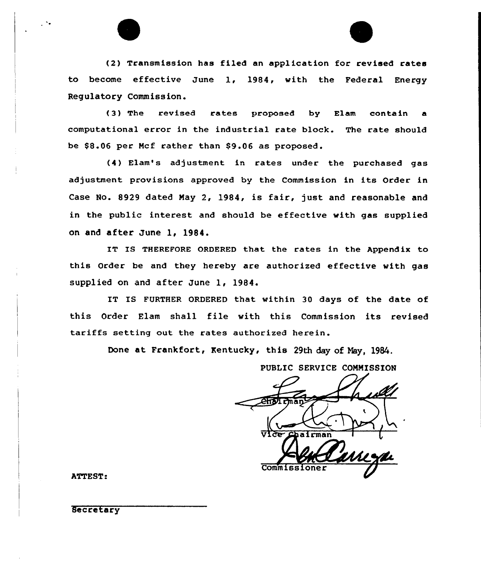(2) Transmission has filed an application for revised rates to become effective June 1, l984, with the Federal Energy Regulatory Commission.

(3) The revised rates proposed by Elam contain a computational error in the industrial rate block. The rate should be \$8.06 per Mcf rather than \$9.06 as proposed.

(4) Elam's adjustment in rates under the purchased gas adjustment provisions approved by the Commission in its Order in Case No. 8929 dated May 2, 1984, is fair, just and reasonable and in the public interest and should be effective with gas supplied on and after June 1, 1984.

IT IS THEREFORE ORDERED that the rates in the Appendix to this Order be and they hereby are authorized effective with gas supplied on and after June 1, 1984.

IT IS FURTHER ORDERED that within 30 days of the date of this Order Elam shall file with this Commission its revised tariffs setting out the rates authorized herein.

Done at Frankfort, Kentucky, this 29th day of Nay, 1984.

PUBLIC SERVICE COMMISSION

 $\overline{v}$ lce  $\overline{c}$ pairman Commissi

ATTEST:

Secretary